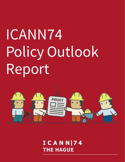# ICANN74 Policy Outlook Report



 $ICANNI74$ **THE HAGUE**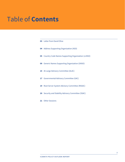# Table of **Contents**

|    | <b>03</b> Letter from David Olive                            |
|----|--------------------------------------------------------------|
|    | 04 Address Supporting Organization (ASO)                     |
|    | <b>05</b> Country Code Names Supporting Organization (ccNSO) |
|    | 09 Generic Names Supporting Organization (GNSO)              |
|    | 15 At-Large Advisory Committee (ALAC)                        |
|    | 17 Governmental Advisory Committee (GAC)                     |
|    | 19 Root Server System Advisory Committee (RSSAC)             |
|    | 20 Security and Stability Advisory Committee (SSAC)          |
| 21 | <b>Other Sessions</b>                                        |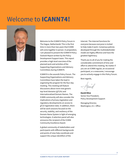# <span id="page-2-0"></span>Welcome to **ICANN74!**



Welcome to the ICANN74 Policy Forum in The Hague, Netherlands! This is the first time in more than two years that ICANN will come together in person. In preparation, I am pleased to present the ICANN74 Policy Outlook Report written by the Policy Development Support team. This report provides a high-level overview of the planned work and activities of the Supporting Organizations and Advisory Committees during ICANN74.

ICANN74 is the seventh Policy Forum. The Supporting Organizations and Advisory Committees have taken the lead in organizing the program for the four-day meeting. This meeting will feature discussions about more new generic top-level domains (gTLDs) and Internationalized Domain Names. The ICANN community will also consider the implications of privacy legislation and regulatory developments on access to gTLD registration data. In addition, there will be work sessions focused on the security, stability, and resiliency of the Domain Name System in light of emerging technologies. A selection panel will also announce the recipient of the ICANN Community Excellence Award.

A global community of stakeholders and participants with different backgrounds and points of view help coordinate and support the unique identifiers of the

Internet. The Internet functions for everyone because everyone is invited to help make it work. Consensus policies developed through the multistakeholder model are highly effective and have the greatest legitimacy.

Thank you to all of you for making the considerable commitment of time and effort to attend this meeting. No matter if you are an ICANN regular, an occasional participant, or a newcomer, I encourage you to actively engage in this Policy Forum.

Best regards,

**David Olive** Senior Vice President, Policy Development Support

Managing Director, Washington, D.C. Office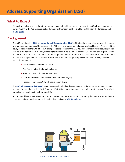<span id="page-3-0"></span>Although several members of the Internet number community will participate in sessions, the ASO will not be convening during ICANN74. The ASO conducts policy development work through Regional Internet Registry (RIR) meetings and **[mailing lists](https://www.nro.net/policy/regional/)**.

# **Background**

The ASO is defined in a **[2019 Memorandum of Understanding \(MoU\)](https://aso.icann.org/documents/memorandums-of-understanding/)**, affirming the relationship between the names and numbers communities. The purpose of the ASO is to review recommendations on global Internet Protocol address policy and to advise the ICANN Board. Global policies are defined in the ASO MoU as "Internet number resource policies that have the agreement of all RIRs, according to their policy development processes, and ICANN and require specific actions or outcomes on the part of the Internet Assigned Numbers Authority or any other external ICANN-related body in order to be implemented." The ASO ensures that the policy development process has been correctly followed in each RIR community:

- African Network Information Centre
- Asia Pacific Network Information Centre
- American Registry for Internet Numbers
- Latin American and Caribbean Internet Addresses Registry
- Réseaux IP Européens Network Coordination Centre

The **[ASO Address Council \(ASO AC\)](https://aso.icann.org/aso-ac/)** coordinates the global policy development work of the Internet number community and appoints members to the ICANN Board, the ICANN Nominating Committee, and other ICANN groups. The ASO AC consists of 15 members, three from each RIR.

ASO AC monthly teleconferences are open to observers. For more information, including the teleconference schedule, observer privileges, and remote participation details, visit the **[ASO AC website](https://aso.icann.org/aso-ac-teleconference-open-for-observers/)**.

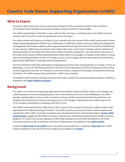<span id="page-4-0"></span>During the ccNSO sessions, the country code top-level domain (ccTLD) community and others with an interest in ccTLD-related matters will discuss and receive updates on topics relevant to ccTLD managers.

The ccNSO program begins on Monday, 13 June, with Tech Day. Tech Day is a workshop open to all ICANN community members with an interest in technical, operational, and security topics.

The ccNSO schedule will continue on Tuesday, 14 June, and start with a joint session of the ccNSO Council and the Generic Names Supporting Organization (GNSO) Council, followed by a ccNSO Policy Session, when two ccNSO policy development working groups will provide an update on their progress to date and seek input from the ccTLD community. On Wednesday, 15 June, during a ccNSO Governance Session, there will be a discussion on the need to introduce a general statement of interest procedure for the ccNSO and ccNSO Council conflict of interest arrangements. There will also be a discussion on the impact of the inclusion of Internationalized Domain Name (IDN) ccTLD managers as members of the ccNSO on existing rules and operating procedures. Finally, on Thursday, 16 June, ccTLD managers will share their experiences with Domain Name System (DNS) abuse, including priorities and approaches.

The third and fourth ccNSO policy development working groups will have their working sessions on Tuesday, 14 June. On Wednesday, 15 June, the Tech Working Group and Top-Level Domain Operations (TLD-OPS) Standing Committee and its security subgroup will all meet. On Thursday, 16 June, there will be a meeting of the Strategic and Operational Planning Committee. The ccNSO program will conclude with a ccNSO Council meeting.

The detailed ccNSO schedule, including a summary of the topics covered and remote participation details for ICANN74, is available on the **[ccNSO ICANN74 workspace](https://community.icann.org/display/ccnsowkspc/ICANN74+-+The+Hague+13-16+June)**.

# **Background**

The ccNSO is one of the three Supporting Organizations within ICANN. Created in 2003 for and by ccTLD managers, the ccNSO develops and recommends global policies, such as the retirement of ccTLDs, to the ICANN Board. The ccNSO provides a global platform to discuss topics and issues of concern, builds consensus and technical cooperation, and facilitates the development of voluntary best practices for ccTLD managers. Membership in the ccNSO is open to all ccTLD managers responsible for managing an ISO 3166-1 ccTLD.

The ccNSO is administered by the ccNSO Council, which consists of 18 councilors (15 elected by ccNSO members, three appointed by the ICANN Nominating Committee). The ccNSO councilors are actively involved in determining the work and direction of the ccNSO. Councilors manage the policy development process, lead and participate in **[various ccNSO](https://ccnso.icann.org/en/workinggroups)  [working groups](https://ccnso.icann.org/en/workinggroups)**, engage with the ICANN community on topical issues, and develop positions based on ICANN community feedback. The ccNSO Council meets regularly at ICANN Public Meetings and at monthly teleconferences. All ccNSO Council documents, minutes of meetings, resolutions, and discussions are published on the **[ccNSO website](https://ccnso.icann.org/en)**.

Consult the **[Quick Guide to the ccNSO](https://community.icann.org/pages/viewpage.action?pageId=66085237)** to learn more about its work and how it is organized. **[Subscribe](https://community.icann.org/display/ccnsowkspc/ccNSO+Newsletter)** to the ccNSO monthly newsletter to stay informed. Previous editions are available in the **[archive](https://community.icann.org/display/ccnsowkspc/ccNSO+Newsletter)**.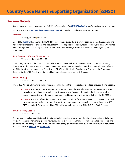# **Session Details**

*Session times provided in this report are in UTC+2. Please refer to the [ICANN74 schedule](https://74.schedule.icann.org/) for the most current information.*

Please refer to the **[ccNSO Members Meeting workspace](https://community.icann.org/display/ccnsowkspc/%28pre%29ICANN74+%7C+ccNSO+Members+Meeting)** for detailed agendas and more information.

#### **Tech Day**

Monday, 13 June | 13:15-17:30

Since 2006, **[Tech Day](https://community.icann.org/display/ccnsowkspc/vTech+Day+%7C+25+October+-+Agenda)** has been part of ICANN Public Meetings. It provides a forum for both experienced participants and newcomers to meet and to present and discuss technical and operational registry topics, security, and other DNS-related work. During ICANN74, Tech Day will focus on DNS Security Extensions, DNS abuse prevention and mitigation, and other topics.

#### **Joint Session: ccNSO and GNSO Councils**

Tuesday, 14 June | 09:00-10:00

During this joint session the ccNSO Council and the GNSO Council will discuss topics of common interest, including a discussion on what happens after policy recommendations are accepted by either council, policy development efforts for IDNs, the latest developments of Phase 2 of the GNSO Expedited Policy Development Process on the Temporary Specification for gTLD Registration Data, and finally, developments regarding DNS abuse.

#### **ccNSO Policy Update**

Tuesday, 14 June | 13:15-14:30

Two ccNSO PDP (ccPDP) working groups will provide an update on their progress to date and seek input on their proposals:

- **ccPDP3** | The goal of this PDP is to report on and recommend a policy for a review mechanism with respect to decisions pertaining to the delegation, transfer, revocation and retirement of the delegated top-level domains associated with the country codes assigned to countries and territories listed in the ISO 3166-1.
- **ccPDP4** | This PDP defines the criteria, process, and procedures for (de)selecting IDN ccTLDs associated with the country codes assigned to countries, territories, or other areas of geopolitical interest listed in the ISO 3166-1 standard. The results of this ccPDP4 will eventually replace the IDN ccTLD Fast Track Process.

#### **ccPDP3 Working Session**

Tuesday, 14 June | 15:00-16:00

The working group has identified which decisions should be subject to a review and explored the requirements for the review mechanism. The working group is now taking a deep dive into the various requirements and related topics. The group will hold a working session during ICANN74. The working group charter, work plan, and other relevant documents are available on its **[website](https://ccnso.icann.org/en/workinggroups/pdp-retirement.htm)** and **[workspace](https://community.icann.org/display/ccnsowkspc/Policy+Development+Process+%28ccPDP3%29+-+Review+Mechanism)**.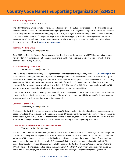#### **ccPDP4 Working Session**

Tuesday, 14 June | 16:30-17:30

The ccPDP4 Working Group completed its review and discussion of the 2013 policy proposals for the IDN ccTLD string selection process. The ccPDP4 consists of three subgroups: the variant management subgroup, the confusing similarity review subgroup, and the de-selection subgroup. By ICANN74, all subgroups will have completed their initial proposals, or will be in the final phases of doing so. During ICANN74, the working group will hold a working session to start the stress-testing of the draft policy recommendations to date. The working group charter, work plan, and other relevant documents are available on its **[website](https://ccnso.icann.org/en/workinggroups/idn-cctld-strings.htmups/pdp-retirement.htm)** and **[workspace](https://community.icann.org/display/ccnsowkspc/Policy+Development+Process+%28ccPDP4%29+-+%28de-%29selection+of+IDN+ccTLD+Strings)**.

#### **Technical Working Group**

Wednesday, 15 June | 15:00-16:00

Since 2006, the Technical Working Group has organized Tech Day, a workshop open to all ICANN community members with an interest in technical, operational, and security topics. The working group will discuss working methods and charter updates during ICANN74.

#### **TLD-OPS Standing Committee**

Wednesday, 15 June | 16:30-17:30

The Top-Level Domain Operations (TLD-OPS) Standing Committee is the oversight body of the **[TLD-OPS mailing list](https://ccnso.icann.org/en/resources/tld-ops-secure-communication.htm)**. The purpose of the standing committee is to govern the daily operation of the TLD-OPS email list and, when necessary, to develop and implement progress plans for future improvements and developments of the TLD-OPS email list, including its ecosystem. TLD-OPS is the incident response community for and by ccTLDs and brings together those who are responsible for the overall security and stability of their ccTLD. The goal of the TLD-OPS community is to enable ccTLD operators worldwide to collaboratively strengthen their incident response capabilities.

During ICANN74, the TLD-OPS Standing Committee will have a meeting with its security subcommittee. They will review progress to date, action items, and refine its strategy. The security subcommittee will discuss its effectiveness since its formation and if any changes or improvements are needed.

#### **Governance of the ccNSO**

Wednesday, 15 June | 10:30-12:00

The focus of the ICANN74 governance session will be on ccNSO statement of interest and conflict of interest processes. Based on feedback from this session, the subteam of the ccNSO Guidelines Review Committee will develop proposals for consideration by the ccNSO Council and ccNSO membership. In addition, there will be a discussion on how the inclusion of IDN ccTLD managers as members of the ccNSO will impact existing rules and operating procedures.

#### **ccNSO Strategic and Operational Planning Committee**

Thursday, 16 June | 09:00–10:00

The aim of the committee is to coordinate, facilitate, and increase the participation of ccTLD managers in the strategic and operational planning related budgetary processes of ICANN and Public Technical Identifiers (PTI). The ccNSO Council and individual ccTLD managers, collectively or individually, will be invited to support the position or input of the committee. Membership in the committee is open to all ccTLD managers (whether members or nonmembers of the ccNSO). The committee may submit a relevant Rejection Action Petition against the ICANN and Internet Assigned Numbers Authority (IANA) budgets or their strategic and operating plans. During ICANN74, the SOPC will review and discuss with the ccTLD community the goal, scope, and method of ccNSO input into ICANN strategic and operational planning processes.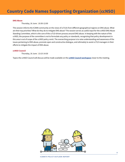#### **DNS Abuse**

Thursday, 16 June | 10:30-12:00

This session informs the ICANN community on the views of ccTLDs from different geographical regions on DNS abuse. What are their top priorities? What do they do to mitigate DNS abuse? The session serves as useful input for the ccNSO DNS Abuse Standing Committee, which is the core of the ccTLD-driven process around DNS abuse. In keeping with the nature of the ccNSO, the purpose of the committee is not to formulate any policy or standards, recognizing that policy development in this area is out of scope of the ccNSO policy remit. The overarching purpose is to raise understanding and awareness of the issues pertaining to DNS abuse, promote open and constructive dialogue, and ultimately to assist ccTLD managers in their efforts to mitigate the impact of DNS abuse.

#### **ccNSO Council**

Thursday, 16 June | 13:15-14:30

Topics the ccNSO Council will discuss will be made available on the **[ccNSO Council workspace](https://community.icann.org/display/ccNSOCWS/June+2022+-+@ICANN74)** closer to the meeting.

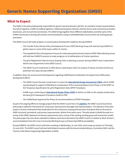<span id="page-8-0"></span>The GNSO is the policymaking body responsible for generic top-level domains (gTLDs). Its members include representatives from gTLD registries, ICANN-accredited registrars, intellectual property interests, Internet service and connectivity providers, businesses, and noncommercial interests. The GNSO brings together these different stakeholders and other parts of the ICANN community to develop gTLD policy recommendations using a multistakeholder process driven by working groups and teams.

The GNSO Council will make progress on several policy development initiatives during ICANN74:

- The Transfer Policy Review Policy Development Process (PDP) Working Group will meet during ICANN74 to gather input on some of the topics within its charter.
- The Expedited Policy Development Process for Internationalized Domain Names (EPDP-IDNs) Working Group will hold two ICANN74 sessions to make progress on its deliberations of charter questions.
- The gTLD Registration Data Accuracy Scoping Team is planning a session during ICANN74 and is expected to deliver two assignments to the GNSO Council.
- The GNSO Council small team on DNS abuse is planning to share its analysis of inputs received and discuss potential next steps during ICANN74.

In addition, there are several recent developments regarding ICANN Board consideration of outputs from GNSO policy development efforts:

- The GNSO Council formed a small team to review the **[Operational Design Assessment \(ODA\)](https://www.icann.org/en/announcements/details/icann-delivers-operational-design-assessment-of-ssad-recommendations-25-1-2022-en)**, which ICANN org developed to support ICANN Board consideration of the recommendations from Phase 2 of the EPDP on the Temporary Specification for gTLD Registration Data (EPDP-TempSpec).
- ICANN org is conducting an **[Operational Design Phase \(ODP\)](https://www.icann.org/subpro-odp)** to deliver an ODA on the outputs produced by the New gTLD Subsequent Procedures (SubPro) PDP.
- The ICANN Board approved the Phase 2A recommendations of EPDP-TempSpec.

As part of its ongoing efforts to manage projects that the GNSO Council has in its **[pipeline](https://community.icann.org/display/gnsocouncilmeetings/Action+Decision+Radar)**, the GNSO Council launched a pilot project called the Framework for Continuous Improvement Oversight and Implementation. The objective of the pilot project is to test a framework that would allow for the continuous scoping and execution of projects that are focused on GNSO structural, procedural, and process improvements, distinct from policy work. The pilot project initially focused on a review of the GNSO statement of interest requirements and a review of the existing working group self-assessment model. The pilot project has since been extended to address work items directed to the GNSO Council in relation to Work Stream 2 recommendations from the Cross-Community Working Group on Enhancing ICANN Accountability.

During ICANN74, the GNSO Council will hold a meeting on Wednesday, 15 June 2022, and a wrap-up session on Thursday, 16 June 2022. The GNSO Council will also hold bilateral sessions with the Governmental Advisory Committee (GAC) and the Country Code Names Supporting Organization (ccNSO).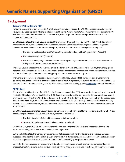# **Background**

#### **Transfer Policy Review PDP**

Following receipt and review of the ICANN org Transfer Policy Status Report, the GNSO Council established a Transfer Policy Review Scoping Team, which provided an Initial Scoping Paper in April 2020. A Preliminary Issue Report for a PDP was published for Public Comment on 12 October 2020, with an updated Final Issue Report submitted to the GNSO Council on 12 January 2021.

On 18 February 2021, the GNSO Council initiated the two-phase Transfer Policy Review PDP. The PDP will determine if changes to the policy are needed to improve the ease, security, and efficacy of inter-registrar and inter-registrant transfers. As recommended in the Final Issue Report, the PDP will address the following topics in sequence:

- The Gaining and Losing Forms of Authorization, AuthInfo Codes, and NACKing transfers (Phase 1A)
- The change of registrant (Phase 1B)
- The transfer emergency action contact and reversing inter-registrar transfers, Transfer Dispute Resolution Policy, and ICANN-approved transfers (Phase 2)

The GNSO Council adopted the PDP working group charter on 24 March 2021. According to PDP 3.0, the working group adopted a representative model with set criteria and expectations for their members and chairs. With the chair identified and the membership established, the working group met for the first time on 14 May 2021.

The working group will hold one session during ICANN74 on Monday, 13 June 2022. During the session, the working group will discuss topics within its charter and seek broader input. It is preparing to publish its Initial Report on the Phase 1A topics for Public Comment shortly after ICANN74. Please refer to the working group's **[workspace](https://community.icann.org/display/TPRPDP)** for more information.

#### **EPDP-IDNs**

The October 2020 Final Report of the IDN Scoping Team recommended an EPDP as the desired approach to address work related to IDN policy. In November 2020, the GNSO Council launched a call for volunteers to develop a draft charter and an initiation request for the EPDP-IDNs. In developing the EPDP-IDNs charter, the drafting team built on the existing body of work related to IDNs, such as IDN-related recommendations from the GNSO New gTLD Subsequent Procedures PDP, IDN variant TLD implementation, and recommendations for the Technical Utilization of the Root Zone Label Generation Rules (RZ-LGR).

On 10 May 2021, the drafting team submitted its deliverables to the GNSO Council for its consideration. The EPDP-IDNs is expected to provide the GNSO Council with policy recommendations on:

- The definition of all gTLDs and the management of variant labels
- How the IDN Implementation Guidelines should be updated

On 20 May 2021, the GNSO Council approved the initiation request for the EPDP-IDNs and adopted its charter. The EPDP-IDNs Working Group held its first meeting on 11 August 2021.

By the end of May 2022, the working group completed its first pass of substantive deliberations on Group 1 charter questions related to the definition of all gTLDs using the RZ-LGR. It also completed the initial deliberation of seven out of nine charter questions in Group 2, which is related to the "same entity" principle at the top-level.

Currently, the working group is proceeding with its initial deliberations on Group 3 charter questions regarding the impact of variant implementation on the evaluation, objection, string contention, and other New gTLD Program processes.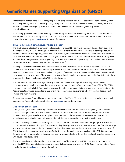To facilitate its deliberations, the working group is conducting outreach activities to seek critical input externally, such as a survey among Arabic and Chinese gTLD registry operators and a consultation with Chinese, Japanese, and Korean Generation Panels. A small group within the EPDP has also been formed to tackle string similarity review related deliberations.

The working group will conduct two working sessions during ICANN74: one on Monday, 13 June 2022, and another on Wednesday, 15 June 2022. During the sessions, it will discuss topics within its charter and seek broader input. Please refer to the working group's **[workspace](https://community.icann.org/display/epdpidn)** for more information.

#### **gTLD Registration Data Accuracy Scoping Team**

The GNSO Council adopted the formation and instructions of the gTLD Registration Accuracy Scoping Team during its meeting on 22 July 2021. The scoping team has been tasked to consider a number of accuracy-related aspects such as current enforcement and reporting, measurement of accuracy, and effectiveness. These considerations are expected to help inform its deliberations on whether any changes are recommended to the GNSO Council to improve accuracy levels and how these changes would be developed (e.g., A recommendation to change existing contractual requirements may necessitate a PDP or change through contractual negotiations).

The scoping team commenced its deliberations in October 2021, focusing its efforts on the assignments that the GNSO Council provided in its instructions. Following its review of the index of relevant resources, the scoping team has been working on assignments 1 (enforcement and reporting) and 2 (measurement of accuracy), including a number of proposals to measure the state of accuracy. The scoping team has explored a number of proposals but has limited its focus to those proposals that do not involve access to gTLD registration data.

The ICANN Board directed ICANN org to develop scenarios for how ICANN org could obtain legitimate access to gTLD registration data to confirm accuracy that could be tested with the European Data Protection Board (EDPB). The EDPB response is expected to help inform scoping team consideration of proposals that do involve access to registration data. Additional data gathered is expected to help inform its deliberation on assignment 3 (effectiveness) and assignment 4 (impact and improvements).

The Accuracy Scoping Team will conduct one session during ICANN74 on Tuesday, 14 June 2022, to make progress on its assignments. Please refer to the scoping team's **[workspace](https://community.icann.org/display/AST)** for more information.

#### **DNS Abuse Small Team**

During ICANN72, the GNSO Council agreed to initiate a small team on DNS abuse and, subsequently, the small team received an assignment form from the GNSO Council. It captured the numerous ICANN community efforts already underway focusing on DNS abuse but sought to focus attention on the narrow question of whether there are DNS abuse issues that are inadequately mitigated and should be best addressed through policy development.

The small team began meeting in February 2022. As a first step, it requested ICANN community groups to articulate what DNS abuse problem(s) exist that specifically require policy development. The small team received input from the At-Large Advisory Committee, the GAC, the Security and Stability Advisory Committee, the DNS Abuse Institute, and a number of GNSO stakeholder groups and constituencies. During this time, the small team also reached out to ICANN Contractual Compliance with a number of questions and the intent to better understand the landscape of contractual enforcement of DNS abuse-related provisions.

The small team is expected to conduct one working session on Thursday, 16 June 2022. It is expected to discuss its analysis of ICANN community input received and potentially proposed next steps for GNSO Council consideration. Please refer to the team's **[workspace](https://community.icann.org/display/gnsocouncilmeetings/2021-2022+GNSO+Council+Active+Small+Teams)** for more information.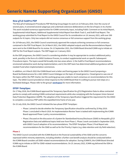#### **New gTLD SubPro PDP**

The New gTLD Subsequent Procedures PDP Working Group began its work on 22 February 2016. Over the course of several years, it convened several subgroups and undertook extensive deliberations on the list of topics in its charter. This work included numerous opportunities for ICANN community input, including Public Comment on its Initial Report, Supplemental Initial Report, Additional Supplemental Initial Report from Work Track 5, and Draft Final Report. The working group submitted its Final Report to the GNSO Council for its consideration on 18 January 2021, with over 300 outputs for 41 topics. Only two outputs did not receive consensus or full consensus support from the working group.

On 18 February 2021, the GNSO Council unanimously approved the outputs achieving consensus or full consensus contained in the PDP Final Report. On 24 March 2021, the GNSO-adopted outputs and the Recommendations Report were sent to the ICANN Board for its review. On 12 September 2021, the ICANN Board directed ICANN org to initiate an ODP for the Final Report outputs. The ODP began on 3 January 2022.

As the ODP progresses, the GNSO Council is considering whether it may be appropriate to conduct additional policy work, possibly in the form of a GNSO Guidance Process, to conduct supplemental work on specific Subsequent Procedures topics. The topics would fall broadly into two areas where: 1) the SubPro Final Report recommendations envisioned substantive work during implementation; and 2) the ODP team has determined additional guidance will be needed if and when implementation commences.

In addition, on 6 March 2022 the ICANN Board sent a letter and framing paper to the GNSO Council proposing a Board-facilitated process for a GAC-GNSO Council dialogue on the topic of closed generics. Closed generics was one of the topics within the PDP charter, but the working group was unable to reach consensus on recommendations for this topic. The GNSO Council provided an initial response to the ICANN Board that it is willing to pursue next steps on a facilitated dialogue. Please refer to the group's **[workspace](https://community.icann.org/display/NGSPP)** for more information.

#### **EPDP-TempSpec**

On 17 May 2018, the ICANN Board approved the Temporary Specification for gTLD Registration Data to allow contracted parties to comply with existing ICANN contractual requirements while also complying with the European Union General Data Protection Regulation (GDPR). The adoption of the Temporary Specification triggered the requirement for the GNSO to complete a consensus PDP within the expedited time frame of one year.

On 19 July 2018, the GNSO Council initiated the two-phase EPDP-TempSpec:

- Phase 1 aimed to decide whether the Temporary Specification should be confirmed by 25 May 2019. Phase 1 concluded in March 2019. An Implementation Review Team is tasked with implementing the ICANN Board-approved Phase 1 policy recommendations.
- Phase 2 focused on the discussion of a System for Standardized Access/Disclosure (SSAD) to Nonpublic gTLD Registration Data and additional topics held over from Phase 1. Phase 2 work concluded in September 2020, with GNSO Council adoption of its recommendations. The EPDP-TempSpec Phase 2 Final Report sets recommendations for the SSAD as well as for the Priority 2 topics (e.g. data retention and city field redaction).

#### **Phase 2**

The GNSO Council consulted with the ICANN Board on the financial sustainability of the SSAD and the concerns expressed within minority statements, including whether a further cost-benefit analysis should be conducted before the ICANN Board considers all SSAD-related recommendations for adoption. During ICANN70, the ICANN Board directed ICANN org to initiate an ODP for SSAD-related recommendations. On 25 January 2022, ICANN org delivered the ODA to the ICANN Board.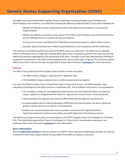The GNSO Council formed the EPDP-TempSpec Phase 2 Small Team consisting of GNSO Council members and EPDP-TempSpec team members. It is tasked with analyzing the ODA and provide the GNSO Council with its feedback on:

- Whether the ODA has correctly interpreted the intent of the SSAD recommendations in the proposed implementation.
- Whether the ODA has overlooked any key aspects of the SSAD recommendations that should be factored in by the ICANN Board when it considers the recommendations.
- Its view on the concerns identified by the ICANN Board and potential options to address these concerns.
- Any other aspects that help inform GNSO Council deliberations and consultation with the ICANN Board.

The small team submitted its preliminary report to the GNSO Council on 4 April 2022. The GNSO Council requested that the ICANN Board instruct ICANN org to develop SSAD Light, which is intended to provide further data that will help address the questions regarding the costs and benefits of the SSAD. The GNSO Council also requested the ICANN Board to pause the consideration of the SSAD recommendations while work on SSAD Light is ongoing. The small team and the GNSO Council plan to discuss this topic during ICANN74. Please refer to the team's **[workspace](https://community.icann.org/display/EOTSFGRD/Phase+2+-+started+-+01+April+2019)** for more information.

#### **Phase 2A**

The GNSO Council asked the EPDP-TempSpec Team to further consider two topics:

- 1. The differentiation of legal vs. natural persons' registration data
- 2. The feasibility of unique contacts to have a uniform anonymized email address

As a result, the EPDP-TempSpec Team reviewed these topics in Phase 2A of its work. The EPDP-TempSpec Team submitted its Final Report to the GNSO Council on 3 September 2021. The Final Report contains four recommendations:

- 1. The mandatory creation of a new Registration Data Directory Services field(s) that allows, but does not require, registrars to designate between natural vs. legal persons and personal vs. non-personal data
- 2.Optional guidance for registrars who choose to differentiate between legal and natural persons
- 3. A recommendation that if ICANN org develops a GDPR Article 40 Code of Conduct, the above-referenced guidance would need to be considered in its development
- 4. Guidance for contracted parties that choose to publish a pseudonymized registrant-based or registration-based email address in the publicly accessible Registration Data Directory Services

The GNSO Council approved the policy recommendations in the EPDP-TempSpec Phase 2A Final Report on 27 October 2021. The ICANN Board approved the Phase 2A Final Report on 10 March 2022. Implementation planning is now underway. Please refer to the team's **[workspace](https://community.icann.org/pages/viewpage.action?pageId=150177878)** for more information.

#### **More Information**

Read the **[GNSO Policy Briefing](https://gnso.icann.org/en/issues/policy-briefing)** to help you prepare for ICANN74. Those interested in GNSO policy activities are welcome to attend the GNSO Policy Update webinar during ICANN74 Prep Week on Tuesday, 31 May 2022.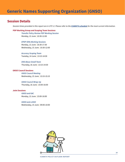# **Session Details**

*Session times provided in this report are in UTC+2. Please refer to the [ICANN74 schedule](https://74.schedule.icann.org/) for the most current information.*

#### **PDP Working Group and Scoping Team Sessions**

*Transfer Policy Review PDP Working Session* Monday, 13 June | 10:30-12:00

#### *EPDP-IDNs Working Sessions*

Monday, 13 June | 16:30-17:30 Wednesday, 15 June | 10:30-12:00

*Accuracy Scoping Team* Tuesday, 14 June | 13:15-14:30

*DNS Abuse Small Team* Thursday, 16 June | 13:15-14:30

#### **GNSO Council Sessions**

*GNSO Council Meeting* Wednesday, 15 June | 13:15-15:15

*GNSO Council Wrap-Up* Thursday, 16 June | 15:00-16:00

#### **Joint Sessions**

*GNSO and GAC* Monday, 13 June | 15:00-16:00

#### *GNSO and ccNSO*

Wednesday, 15 June | 09:00-10:00

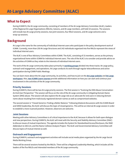<span id="page-14-0"></span>During ICANN74, the At-Large community, consisting of members of the At-Large Advisory Committee (ALAC), leaders of the Regional At-Large Organizations (RALOs), liaisons, and At-Large members, will hold 10 sessions. The sessions will include two At-Large priority sessions, two joint sessions, four RALO sessions, and At-Large welcome and a wrap-up sessions.

# **Background**

At-Large is the name for the community of individual Internet users who participate in the policy development work of ICANN. Currently, more than 250 At-Large Structures and 142 individuals organized into five RALOs represent the views of individual Internet users.

The ALAC is one of four Advisory Committees within ICANN. The ALAC, consisting of 15 members, serves as the primary organizational home within ICANN for individual Internet users. The role of the ALAC is to consider and provide advice on the activities of ICANN as they relate to the interests of individual Internet users.

The work of the At-Large community takes place primarily in **[working groups](https://community.icann.org/display/atlarge/At-Large+Working+Groups)** divided into three tracks: At-Large policy, outreach and engagement, and operations. At-Large conducts its work through regular teleconferences and active participation during ICANN Public Meetings.

You can learn more about the At-Large community, its activities, and how to join on the **[At-Large website](https://atlarge.icann.org/)** and **[At-Large](https://community.icann.org/pages/viewpage.action?pageId=2265510)  [workspace](https://community.icann.org/pages/viewpage.action?pageId=2265510)**. Also, **[two ICANN Learn courses](https://atlarge.icann.org/get-involved/at-large-icann-learn-courses-en)** provide additional information on how you can start and continue your involvement in the activities of the At-Large community.

#### **Priority Sessions**

During ICANN74, there will be two At-Large priority sessions. The first session is "Evolving the DNS Abuse Conversation: An End User Perspective." The session will focus on the role of the At-Large community in mitigating Domain Name System (DNS) abuse. The session will also explore the At-Large role as an advocate for end users in reducing domain name abuse resulting from maliciously registered domain names as well as compromised websites.

The second session is "Closed Generics: Finding a Better Balance." Following bilateral discussions with the ICANN Board and GNSO leadership, the ALAC will discuss the topic of closed generics. This will be an internal At-Large session in order to establish a more nuanced position. However, observers are welcome.

#### **Joint Sessions**

Meeting with other Advisory Committees is of critical importance to the ALAC because it allows for both open dialogue and new perspectives. During ICANN74, the ALAC will meet with the Security and Stability Advisory Committee (SSAC) to discuss issues of mutual importance. The agenda includes the System for Standardized Access/Disclosure, the SSAC Addendum to SAC114, and the Name Collision Analysis Project. The ALAC and Governmental Advisory Committee will discuss topics of mutual interest as well.

#### **Outreach and Engagement**

During ICANN74, outreach and engagement activities will include social media plans organized by the At-Large Social Media Working Group.

There will be several sessions hosted by the RALOs. There will be a Regional Leadership Meeting, which includes all the leaders of the five RALOs and interested members of the At-Large community.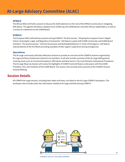#### **AFRALO**

The African RALO will hold a session to discuss the draft statement on the role of the AFRALO community in mitigating DNS abuse. The agenda will feature speakers from ICANN org, the ICANN Board, and other African stakeholders, as well as a review of a statement to the ICANN Board.

#### **EURALO**

The European RALO will hold two sessions during ICANN74. The first session, "Shaping the European Union's Digital Future: Sovereignty, Legal, and Regulatory Frameworks," will feature a panel with ICANN community and ICANN Board members. The second session, "Internet Governance and Multistakeholderism in Times of Emergency," will feature representatives of the five RALOs providing examples of their region's experience during emergencies.

#### **Operations**

The At-Large community will hold a Welcome Session to provide an overview of the ICANN74 sessions organized by At-Large and those of particular interest to its members. It will also include a preview of the At-Large talking points covering issues such as Universal Acceptance, DNS abuse and New Generic Top-Level Domains Subsequent Procedures. The At-Large Wrap-Up Session will review the highlights of ICANN74 and will feature a discussion with the ICANN President, CEO, and members of the ICANN Board. The session will conclude with a preview of the ICANN75 Annual General Meeting.

# **Session Details**

All ICANN74 At-Large sessions, including their dates and times, are listed on the At-Large ICANN74 workspace. This workspace also includes other key information related to At-Large activities during ICANN74.

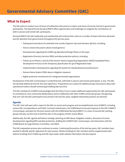<span id="page-16-0"></span>The GAC plans to conduct over 20 hours of substantive discussions on topics and issues of priority interest to government participants. The hybrid format during ICANN74 offers opportunities and challenges to integrate the contributions of both in-person and remote GAC participants.

During ICANN74, the GAC leadership and membership will continue their work on a number of topics that have attracted priority attention from governments throughout the last two years:

- Subsequent procedures for potential new rounds of generic top-level domains (gTLDs), including:
- How to resolve discussions about closed generics
- Developments regarding the ICANN org Operational Design Phase on this topic
- Registration Directory Services (RDS) and data protection policies, including:
- Follow-up on Phases 2 and 2A of the Generic Names Supporting Organization (GNSO) Expedited Policy Development Process on the Temporary Specification for gTLD Registration Data
- Implementation developments regarding the System for Standardized Access/Disclosure
- Domain Name System (DNS) abuse mitigation measures
- Rights protection mechanisms for intergovernmental organizations

Development of the GAC Communiqué in a hybrid format, with both in-person and remote participants, is new. The GAC has devoted additional time for this new experience. Preparations are in place for additional topic discussions about GAC operational matters should communiqué drafting take less time.

The GAC schedule for ICANN74 acknowledges that the Policy Forum creates additional opportunities for GAC participants to contribute to cross-community deliberations and to collaborate with other ICANN community groups. Recognizing that over 130 new GAC participants have joined in the last two years, targeted networking sessions are planned.

#### **Agenda**

The GAC chair will open with a report to the GAC on recent work progress and accomplishments since ICANN73, including various GAC correspondence and Public Comment submissions, the ICANN Board scorecard response to the GAC ICANN73 Communiqué, and plans for the joint session with the ICANN Board during ICANN74. Co-chairs of several GAC working groups will also use this time to brief the GAC on the progress of their recent efforts.

Additionally, the GAC agenda will feature strategic planning on DNS abuse mitigation matters, discussion of recent developments regarding RDS and data protection, drafting the ICANN74 GAC Communiqué, and interactions with the ICANN Board, At-Large Advisory Committee, and GNSO.

The GAC preparation process also continues to evolve. Continuing the practice of the last two years, GAC members have worked to identify specific objectives for each session. Written briefings for GAC members will be supplemented with webinar briefings from ICANN org and GAC topic leads, while website information will also expand.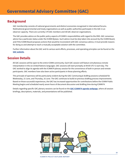# **Background**

GAC membership consists of national governments and distinct economies recognized in international forums. Multinational governmental and treaty organizations as well as public authorities participate in the GAC in an observer capacity. There are currently 179 GAC members and 38 GAC observer organizations.

The GAC provides advice on the public policy aspects of ICANN's responsibilities with regard to the DNS. GAC consensus advice has a particular status under the ICANN Bylaws. Such advice must be duly taken into account by the ICANN Board, and if the ICANN Board proposes actions that would be inconsistent with GAC consensus advice, it must provide reasons for doing so and attempt to reach a mutually acceptable solution with the committee.

Further information about the GAC and its various work efforts, processes, and operating principles can be found on the **[GAC website](https://gac.icann.org/)**.

# **Session Details**

All GAC sessions will be open to the entire ICANN community. Each GAC session will feature simultaneous remote interpretation in the six United Nations languages. GAC sessions will start promptly at 09:00 UTC+2 each day. The GAC worked to align its agenda with the ICANN74 plenary session for the convenience of both in-person and remote participants. GAC members have also been active participants in those planning efforts.

This principle of openness will be particularly evident during the GAC Communiqué drafting sessions scheduled for Wednesday, 15 June, and Thursday, 16 June. The GAC continues to build on previous drafting process improvements. Based on those successful experiences, the GAC has increased opportunities for contributions before the ICANN Public Meeting begins and scheduled nearly seven hours of document discussion and drafting time during ICANN74.

Details regarding specific GAC plenary sessions can be found on the **[GAC ICANN74 agenda webpage](https://gac.icann.org/agendas/icann74-hybrid-meeting-agenda)**, where all session briefings, descriptions, materials, and presentations will be published.

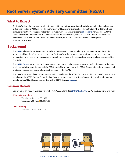<span id="page-18-0"></span>The RSSAC will conduct two work sessions throughout the week to advance its work and discuss various internal matters, including an update of "RSSAC002v4: RSSAC Advisory on Measurements of the Root Server System." The RSSAC will also conduct its monthly meeting and will continue to raise awareness about its recent **[publications](https://www.icann.org/groups/rssac/documents)**, namely "RSSAC047v2: RSSAC Advisory on Metrics for the DNS Root Servers and the Root Server System," "RSSAC058: Success Criteria for the RSS Governance Structure," and "RSSAC059: RSSAC Advisory on Success Criteria for the Root Server System Governance Structure."

# **Background**

The **[RSSAC](https://www.icann.org/groups/rssac)** advises the ICANN community and the ICANN Board on matters relating to the operation, administration, security, and integrity of the root server system. The RSSAC consists of representatives from the root server operator organizations and liaisons from the partner organizations involved in the technical and operational management of the root zone.

The **[RSSAC Caucus](https://www.icann.org/groups/rssac-caucus)** is composed of Domain Name System experts who have an interest in the RSS, broadening the base of diverse technical expertise available for RSSAC work. The primary role of the RSSAC Caucus is to perform research and produce publications on topics relevant to the mission of the RSSAC.

The RSSAC Caucus Membership Committee appoints members of the RSSAC Caucus. In addition, all RSSAC members are members of the RSSAC Caucus. Currently, there is no active work party in the RSSAC Caucus. Please view information about previous RSSAC Caucus work parties on the RSSAC Caucus **[webpage](https://www.icann.org/resources/pages/rssac-caucus-work-parties-2017-06-20-en)**.

# **Session Details**

*Session times provided in this report are in UTC+2. Please refer to the [ICANN74 schedule](https://74.schedule.icann.org/) for the most current information.*

#### **RSSAC Work Sessions**

Tuesday, 14 June | 15:00-16:00 Wednesday, 15 June | 16:30-17:30

#### **RSSAC Meeting**

Tuesday, 14 June | 16:30-17:30

![](_page_18_Picture_13.jpeg)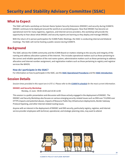<span id="page-19-0"></span>The SSAC will hold a workshop on Domain Name System Security Extensions (DNSSEC) and security during ICANN74. DNSSEC continues to be deployed around the world at an accelerating pace. Now that DNSSEC has become an operational norm for many registries, registrars, and Internet service providers, this workshop will provide the opportunity to hear about what DNSSEC and security experts are learning as they deploy and manage DNSSEC.

With the return of in-person participation for ICANN Public Meetings, the SSAC is conducting internal and bilateral meetings. The SSAC will not be hosting a public session during ICANN74.

# **Background**

The SSAC advises the ICANN community and the ICANN Board on matters relating to the security and integrity of the naming and address allocation systems of the Internet. This includes operational matters such as those pertaining to the correct and reliable operation of the root name system, administrative matters such as those pertaining to address allocation and Internet number assignment, and registration matters such as those pertaining to registry and registrar services like WHOIS.

#### **How do I participate in the SSAC?**

For information on how to participate in the SSAC, see the **[SSAC Operational Procedures](https://www.icann.org/en/system/files/files/ssac-operational-procedures-v9.0-05jan20-en.pdf)** and the **[SSAC Introduction](https://www.icann.org/en/system/files/files/ssac-intro-02may22-en.pdf)**.

# **Session Details**

*Session times provided in this report are in UTC+2. Please refer to the [ICANN74 schedule](https://74.schedule.icann.org/) for the most current information.*

#### **DNSSEC and Security Workshop**

Monday, 13 June | 09:00-10:00 and 10:30-12:00

This session is a public presentation and discussion with those actively engaged in the deployment of DNSSEC. The DNSSEC and Security Workshop also focuses on various emerging security-related issues such as DNS over TLS/DNS over HTTPS impacts and potential abuses, impacts of Resource Public Key Infrastructure deployments, Border Gateway Protocol hijacking, and other Internet-related routing issues.

Anyone with an interest in the deployment of DNSSEC and DNS security, particularly registry, registrar, and Internet service provider employees with technical, operational, and strategic planning roles, may want to attend.

![](_page_19_Picture_14.jpeg)